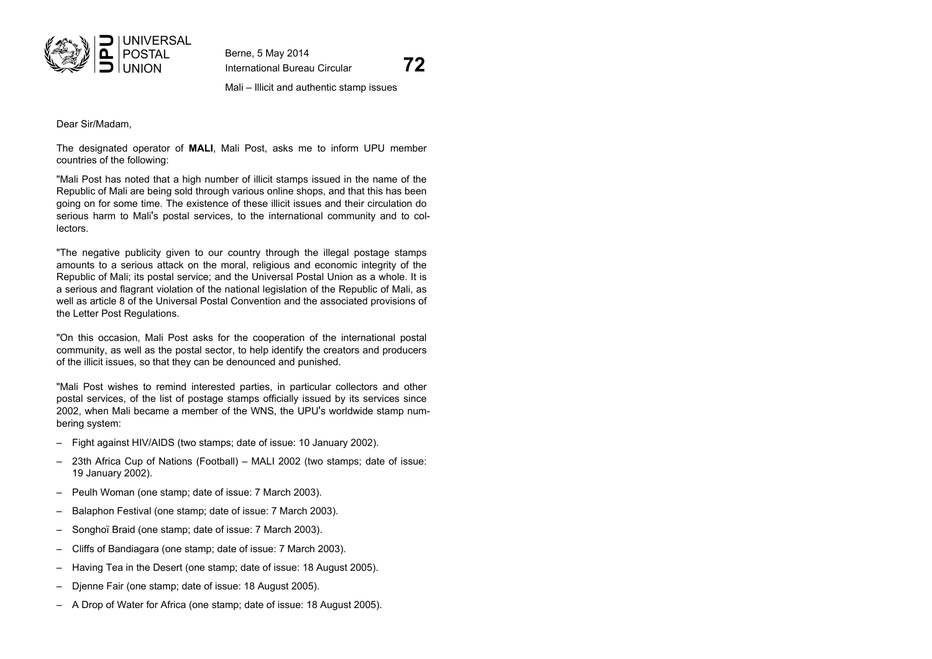

Berne, 5 May 2014

International Bureau Circular **72**

Mali – Illicit and authentic stamp issues

Dear Sir/Madam,

The designated operator of **MALI**, Mali Post, asks me to inform UPU member countries of the following:

"Mali Post has noted that a high number of illicit stamps issued in the name of the Republic of Mali are being sold through various online shops, and that this has been going on for some time. The existence of these illicit issues and their circulation do serious harm to Mali's postal services, to the international community and to collectors.

"The negative publicity given to our country through the illegal postage stamps amounts to a serious attack on the moral, religious and economic integrity of the Republic of Mali; its postal service; and the Universal Postal Union as a whole. It is a serious and flagrant violation of the national legislation of the Republic of Mali, as well as article 8 of the Universal Postal Convention and the associated provisions of the Letter Post Regulations.

"On this occasion, Mali Post asks for the cooperation of the international postal community, as well as the postal sector, to help identify the creators and producers of the illicit issues, so that they can be denounced and punished.

"Mali Post wishes to remind interested parties, in particular collectors and other postal services, of the list of postage stamps officially issued by its services since 2002, when Mali became a member of the WNS, the UPU's worldwide stamp numbering system:

- Fight against HIV/AIDS (two stamps; date of issue: 10 January 2002).
- 23th Africa Cup of Nations (Football) MALI 2002 (two stamps; date of issue: 19 January 2002).
- Peulh Woman (one stamp; date of issue: 7 March 2003).
- Balaphon Festival (one stamp; date of issue: 7 March 2003).
- Songhoï Braid (one stamp; date of issue: 7 March 2003).
- Cliffs of Bandiagara (one stamp; date of issue: 7 March 2003).
- Having Tea in the Desert (one stamp; date of issue: 18 August 2005).
- Djenne Fair (one stamp; date of issue: 18 August 2005).
- A Drop of Water for Africa (one stamp; date of issue: 18 August 2005).